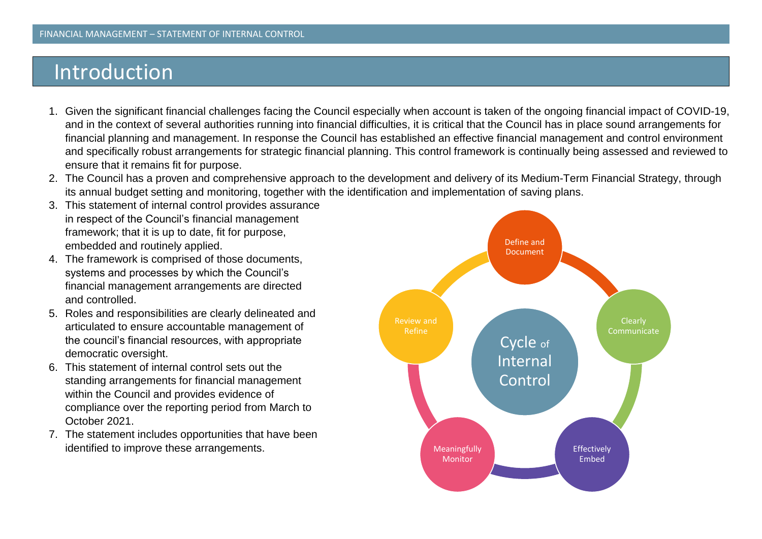## Introduction

- 1. Given the significant financial challenges facing the Council especially when account is taken of the ongoing financial impact of COVID-19, and in the context of several authorities running into financial difficulties, it is critical that the Council has in place sound arrangements for financial planning and management. In response the Council has established an effective financial management and control environment and specifically robust arrangements for strategic financial planning. This control framework is continually being assessed and reviewed to ensure that it remains fit for purpose.
- 2. The Council has a proven and comprehensive approach to the development and delivery of its Medium-Term Financial Strategy, through its annual budget setting and monitoring, together with the identification and implementation of saving plans.
- 3. This statement of internal control provides assurance in respect of the Council's financial management framework; that it is up to date, fit for purpose, embedded and routinely applied.
- 4. The framework is comprised of those documents, systems and processes by which the Council's financial management arrangements are directed and controlled.
- 5. Roles and responsibilities are clearly delineated and articulated to ensure accountable management of the council's financial resources, with appropriate democratic oversight.
- 6. This statement of internal control sets out the standing arrangements for financial management within the Council and provides evidence of compliance over the reporting period from March to October 2021.
- 7. The statement includes opportunities that have been identified to improve these arrangements.

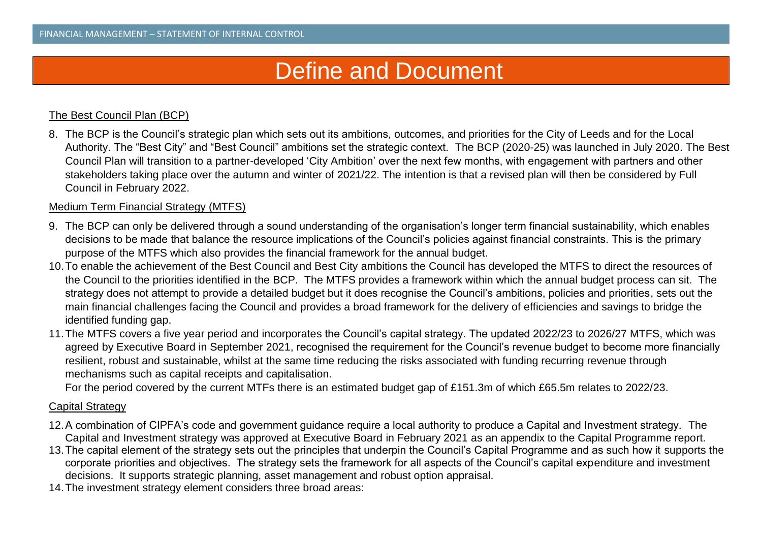# Define and Document

## The Best Council Plan (BCP)

8. The BCP is the Council's strategic plan which sets out its ambitions, outcomes, and priorities for the City of Leeds and for the Local Authority. The "Best City" and "Best Council" ambitions set the strategic context. The BCP (2020-25) was launched in July 2020. The Best Council Plan will transition to a partner-developed 'City Ambition' over the next few months, with engagement with partners and other stakeholders taking place over the autumn and winter of 2021/22. The intention is that a revised plan will then be considered by Full Council in February 2022.

#### Medium Term Financial Strategy (MTFS)

- 9. The BCP can only be delivered through a sound understanding of the organisation's longer term financial sustainability, which enables decisions to be made that balance the resource implications of the Council's policies against financial constraints. This is the primary purpose of the MTFS which also provides the financial framework for the annual budget.
- 10.To enable the achievement of the Best Council and Best City ambitions the Council has developed the MTFS to direct the resources of the Council to the priorities identified in the BCP. The MTFS provides a framework within which the annual budget process can sit. The strategy does not attempt to provide a detailed budget but it does recognise the Council's ambitions, policies and priorities, sets out the main financial challenges facing the Council and provides a broad framework for the delivery of efficiencies and savings to bridge the identified funding gap.
- 11.The MTFS covers a five year period and incorporates the Council's capital strategy. The updated 2022/23 to 2026/27 MTFS, which was agreed by Executive Board in September 2021, recognised the requirement for the Council's revenue budget to become more financially resilient, robust and sustainable, whilst at the same time reducing the risks associated with funding recurring revenue through mechanisms such as capital receipts and capitalisation.

For the period covered by the current MTFs there is an estimated budget gap of £151.3m of which £65.5m relates to 2022/23.

#### Capital Strategy

- 12.A combination of CIPFA's code and government guidance require a local authority to produce a Capital and Investment strategy. The Capital and Investment strategy was approved at Executive Board in February 2021 as an appendix to the Capital Programme report.
- 13.The capital element of the strategy sets out the principles that underpin the Council's Capital Programme and as such how it supports the corporate priorities and objectives. The strategy sets the framework for all aspects of the Council's capital expenditure and investment decisions. It supports strategic planning, asset management and robust option appraisal.
- 14.The investment strategy element considers three broad areas: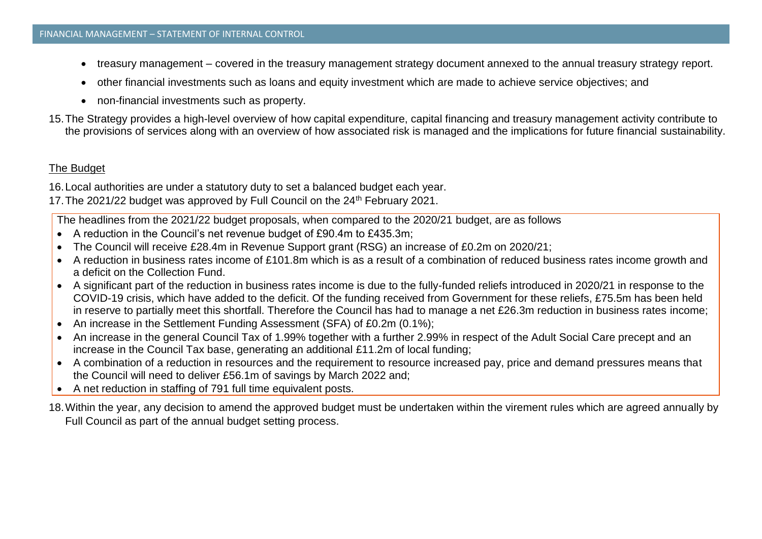- treasury management covered in the treasury management strategy document annexed to the annual treasury strategy report.
- other financial investments such as loans and equity investment which are made to achieve service objectives; and
- non-financial investments such as property.
- 15.The Strategy provides a high-level overview of how capital expenditure, capital financing and treasury management activity contribute to the provisions of services along with an overview of how associated risk is managed and the implications for future financial sustainability.

## The Budget

16.Local authorities are under a statutory duty to set a balanced budget each year.

17. The 2021/22 budget was approved by Full Council on the 24<sup>th</sup> February 2021.

The headlines from the 2021/22 budget proposals, when compared to the 2020/21 budget, are as follows

- A reduction in the Council's net revenue budget of £90.4m to £435.3m;
- The Council will receive £28.4m in Revenue Support grant (RSG) an increase of £0.2m on 2020/21;
- A reduction in business rates income of £101.8m which is as a result of a combination of reduced business rates income growth and a deficit on the Collection Fund.
- A significant part of the reduction in business rates income is due to the fully-funded reliefs introduced in 2020/21 in response to the COVID-19 crisis, which have added to the deficit. Of the funding received from Government for these reliefs, £75.5m has been held in reserve to partially meet this shortfall. Therefore the Council has had to manage a net £26.3m reduction in business rates income;
- An increase in the Settlement Funding Assessment (SFA) of £0.2m (0.1%);
- An increase in the general Council Tax of 1.99% together with a further 2.99% in respect of the Adult Social Care precept and an increase in the Council Tax base, generating an additional £11.2m of local funding;
- A combination of a reduction in resources and the requirement to resource increased pay, price and demand pressures means that the Council will need to deliver £56.1m of savings by March 2022 and;
- A net reduction in staffing of 791 full time equivalent posts.
- 18.Within the year, any decision to amend the approved budget must be undertaken within the virement rules which are agreed annually by Full Council as part of the annual budget setting process.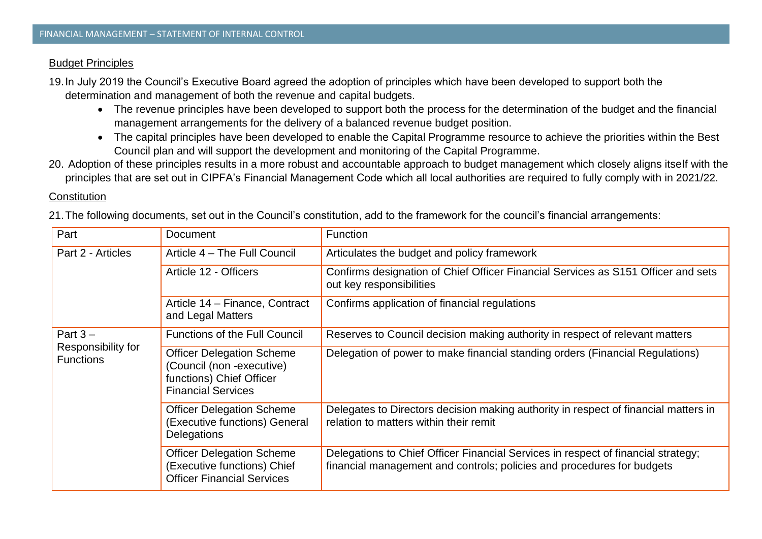#### Budget Principles

19.In July 2019 the Council's Executive Board agreed the adoption of principles which have been developed to support both the determination and management of both the revenue and capital budgets.

- The revenue principles have been developed to support both the process for the determination of the budget and the financial management arrangements for the delivery of a balanced revenue budget position.
- The capital principles have been developed to enable the Capital Programme resource to achieve the priorities within the Best Council plan and will support the development and monitoring of the Capital Programme.
- 20. Adoption of these principles results in a more robust and accountable approach to budget management which closely aligns itself with the principles that are set out in CIPFA's Financial Management Code which all local authorities are required to fully comply with in 2021/22.

#### **Constitution**

21.The following documents, set out in the Council's constitution, add to the framework for the council's financial arrangements:

| Part                                   | <b>Document</b>                                                                                                        | <b>Function</b>                                                                                                                                             |
|----------------------------------------|------------------------------------------------------------------------------------------------------------------------|-------------------------------------------------------------------------------------------------------------------------------------------------------------|
| Part 2 - Articles                      | Article 4 – The Full Council                                                                                           | Articulates the budget and policy framework                                                                                                                 |
|                                        | Article 12 - Officers                                                                                                  | Confirms designation of Chief Officer Financial Services as S151 Officer and sets<br>out key responsibilities                                               |
|                                        | Article 14 - Finance, Contract<br>and Legal Matters                                                                    | Confirms application of financial regulations                                                                                                               |
| Part $3 -$                             | <b>Functions of the Full Council</b>                                                                                   | Reserves to Council decision making authority in respect of relevant matters                                                                                |
| Responsibility for<br><b>Functions</b> | <b>Officer Delegation Scheme</b><br>(Council (non -executive)<br>functions) Chief Officer<br><b>Financial Services</b> | Delegation of power to make financial standing orders (Financial Regulations)                                                                               |
|                                        | <b>Officer Delegation Scheme</b><br>(Executive functions) General<br>Delegations                                       | Delegates to Directors decision making authority in respect of financial matters in<br>relation to matters within their remit                               |
|                                        | <b>Officer Delegation Scheme</b><br>(Executive functions) Chief<br><b>Officer Financial Services</b>                   | Delegations to Chief Officer Financial Services in respect of financial strategy;<br>financial management and controls; policies and procedures for budgets |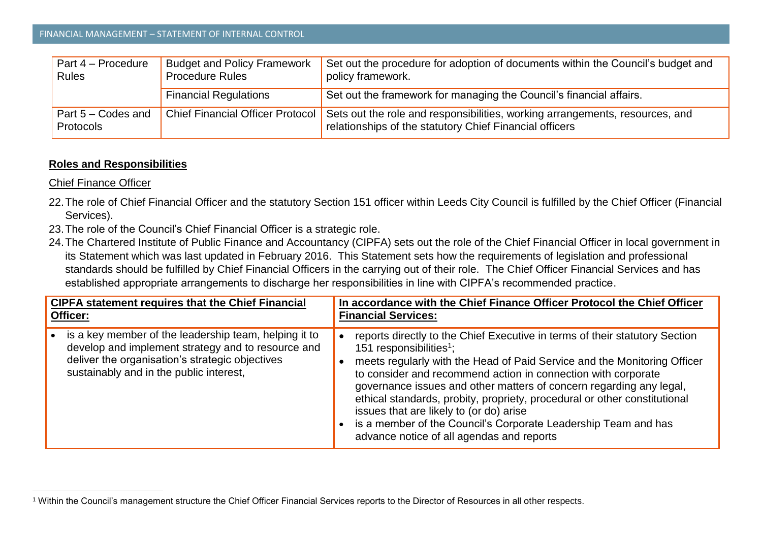| $\sqrt{$ Part 4 – Procedure<br>Rules            | <b>Budget and Policy Framework</b><br><b>Procedure Rules</b> | Set out the procedure for adoption of documents within the Council's budget and<br>policy framework.                                    |
|-------------------------------------------------|--------------------------------------------------------------|-----------------------------------------------------------------------------------------------------------------------------------------|
|                                                 | <b>Financial Regulations</b>                                 | Set out the framework for managing the Council's financial affairs.                                                                     |
| $\sqrt{$ Part 5 – Codes and<br><b>Protocols</b> | <b>Chief Financial Officer Protocol</b>                      | Sets out the role and responsibilities, working arrangements, resources, and<br>relationships of the statutory Chief Financial officers |

## **Roles and Responsibilities**

Chief Finance Officer

 $\overline{\phantom{a}}$ 

- 22.The role of Chief Financial Officer and the statutory Section 151 officer within Leeds City Council is fulfilled by the Chief Officer (Financial Services).
- 23.The role of the Council's Chief Financial Officer is a strategic role.
- 24.The Chartered Institute of Public Finance and Accountancy (CIPFA) sets out the role of the Chief Financial Officer in local government in its Statement which was last updated in February 2016. This Statement sets how the requirements of legislation and professional standards should be fulfilled by Chief Financial Officers in the carrying out of their role. The Chief Officer Financial Services and has established appropriate arrangements to discharge her responsibilities in line with CIPFA's recommended practice.

| <b>CIPFA statement requires that the Chief Financial</b>                                                                                                                                                  | In accordance with the Chief Finance Officer Protocol the Chief Officer                                                                                                                                                                                                                                                                                                                                                                                                                                                                                                       |  |
|-----------------------------------------------------------------------------------------------------------------------------------------------------------------------------------------------------------|-------------------------------------------------------------------------------------------------------------------------------------------------------------------------------------------------------------------------------------------------------------------------------------------------------------------------------------------------------------------------------------------------------------------------------------------------------------------------------------------------------------------------------------------------------------------------------|--|
| Officer:                                                                                                                                                                                                  | <b>Financial Services:</b>                                                                                                                                                                                                                                                                                                                                                                                                                                                                                                                                                    |  |
| is a key member of the leadership team, helping it to<br>develop and implement strategy and to resource and<br>deliver the organisation's strategic objectives<br>sustainably and in the public interest, | reports directly to the Chief Executive in terms of their statutory Section<br>151 responsibilities <sup>1</sup> ;<br>meets regularly with the Head of Paid Service and the Monitoring Officer<br>to consider and recommend action in connection with corporate<br>governance issues and other matters of concern regarding any legal,<br>ethical standards, probity, propriety, procedural or other constitutional<br>issues that are likely to (or do) arise<br>is a member of the Council's Corporate Leadership Team and has<br>advance notice of all agendas and reports |  |

<sup>1</sup> Within the Council's management structure the Chief Officer Financial Services reports to the Director of Resources in all other respects.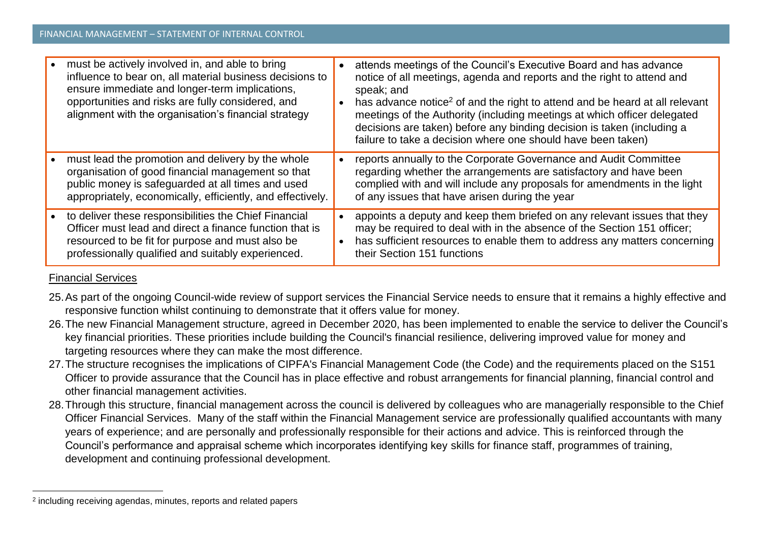| must be actively involved in, and able to bring<br>influence to bear on, all material business decisions to<br>ensure immediate and longer-term implications,<br>opportunities and risks are fully considered, and<br>alignment with the organisation's financial strategy | attends meetings of the Council's Executive Board and has advance<br>notice of all meetings, agenda and reports and the right to attend and<br>speak; and<br>has advance notice <sup>2</sup> of and the right to attend and be heard at all relevant<br>meetings of the Authority (including meetings at which officer delegated<br>decisions are taken) before any binding decision is taken (including a<br>failure to take a decision where one should have been taken) |
|----------------------------------------------------------------------------------------------------------------------------------------------------------------------------------------------------------------------------------------------------------------------------|----------------------------------------------------------------------------------------------------------------------------------------------------------------------------------------------------------------------------------------------------------------------------------------------------------------------------------------------------------------------------------------------------------------------------------------------------------------------------|
| must lead the promotion and delivery by the whole<br>organisation of good financial management so that<br>public money is safeguarded at all times and used<br>appropriately, economically, efficiently, and effectively.                                                  | reports annually to the Corporate Governance and Audit Committee<br>regarding whether the arrangements are satisfactory and have been<br>complied with and will include any proposals for amendments in the light<br>of any issues that have arisen during the year                                                                                                                                                                                                        |
| to deliver these responsibilities the Chief Financial<br>Officer must lead and direct a finance function that is<br>resourced to be fit for purpose and must also be<br>professionally qualified and suitably experienced.                                                 | appoints a deputy and keep them briefed on any relevant issues that they<br>may be required to deal with in the absence of the Section 151 officer;<br>has sufficient resources to enable them to address any matters concerning<br>their Section 151 functions                                                                                                                                                                                                            |

## Financial Services

 $\overline{\phantom{a}}$ 

- 25.As part of the ongoing Council-wide review of support services the Financial Service needs to ensure that it remains a highly effective and responsive function whilst continuing to demonstrate that it offers value for money.
- 26.The new Financial Management structure, agreed in December 2020, has been implemented to enable the service to deliver the Council's key financial priorities. These priorities include building the Council's financial resilience, delivering improved value for money and targeting resources where they can make the most difference.
- 27.The structure recognises the implications of CIPFA's Financial Management Code (the Code) and the requirements placed on the S151 Officer to provide assurance that the Council has in place effective and robust arrangements for financial planning, financial control and other financial management activities.
- 28.Through this structure, financial management across the council is delivered by colleagues who are managerially responsible to the Chief Officer Financial Services. Many of the staff within the Financial Management service are professionally qualified accountants with many years of experience; and are personally and professionally responsible for their actions and advice. This is reinforced through the Council's performance and appraisal scheme which incorporates identifying key skills for finance staff, programmes of training, development and continuing professional development.

<sup>2</sup> including receiving agendas, minutes, reports and related papers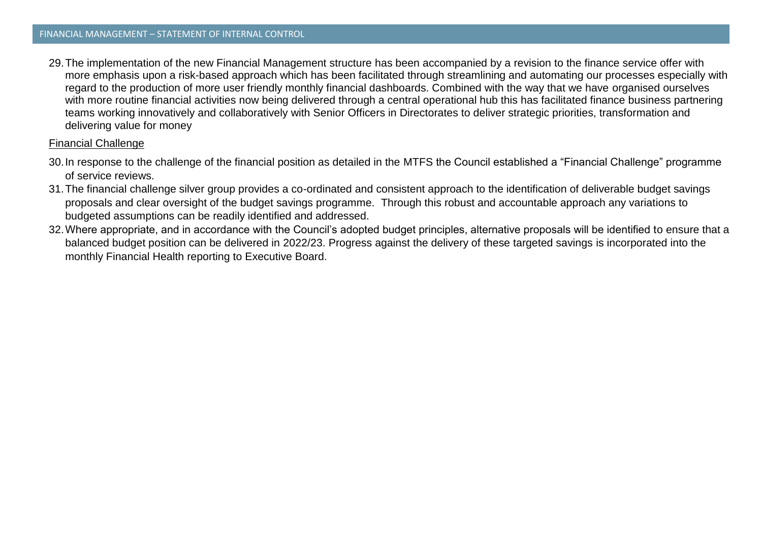29.The implementation of the new Financial Management structure has been accompanied by a revision to the finance service offer with more emphasis upon a risk-based approach which has been facilitated through streamlining and automating our processes especially with regard to the production of more user friendly monthly financial dashboards. Combined with the way that we have organised ourselves with more routine financial activities now being delivered through a central operational hub this has facilitated finance business partnering teams working innovatively and collaboratively with Senior Officers in Directorates to deliver strategic priorities, transformation and delivering value for money

#### Financial Challenge

- 30.In response to the challenge of the financial position as detailed in the MTFS the Council established a "Financial Challenge" programme of service reviews.
- 31.The financial challenge silver group provides a co-ordinated and consistent approach to the identification of deliverable budget savings proposals and clear oversight of the budget savings programme. Through this robust and accountable approach any variations to budgeted assumptions can be readily identified and addressed.
- 32.Where appropriate, and in accordance with the Council's adopted budget principles, alternative proposals will be identified to ensure that a balanced budget position can be delivered in 2022/23. Progress against the delivery of these targeted savings is incorporated into the monthly Financial Health reporting to Executive Board.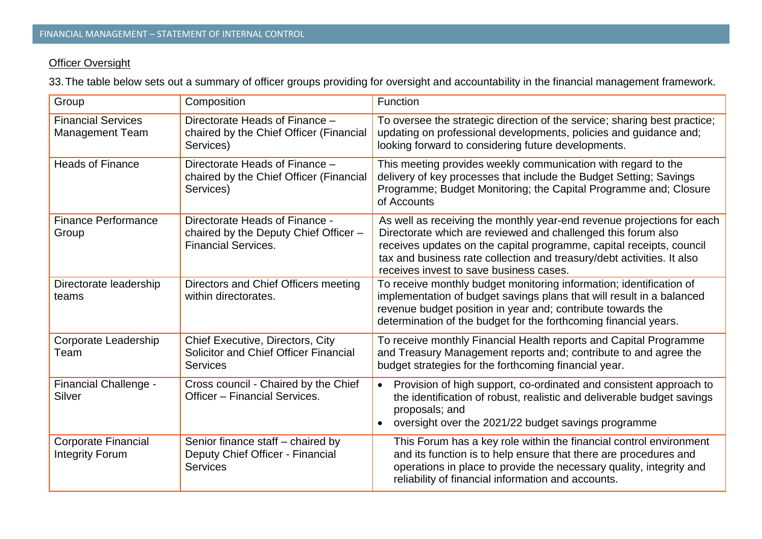## **Officer Oversight**

33.The table below sets out a summary of officer groups providing for oversight and accountability in the financial management framework.

| Group                                                | Composition                                                                                           | Function                                                                                                                                                                                                                                                                                                                             |
|------------------------------------------------------|-------------------------------------------------------------------------------------------------------|--------------------------------------------------------------------------------------------------------------------------------------------------------------------------------------------------------------------------------------------------------------------------------------------------------------------------------------|
| <b>Financial Services</b><br><b>Management Team</b>  | Directorate Heads of Finance -<br>chaired by the Chief Officer (Financial<br>Services)                | To oversee the strategic direction of the service; sharing best practice;<br>updating on professional developments, policies and guidance and;<br>looking forward to considering future developments.                                                                                                                                |
| <b>Heads of Finance</b>                              | Directorate Heads of Finance -<br>chaired by the Chief Officer (Financial<br>Services)                | This meeting provides weekly communication with regard to the<br>delivery of key processes that include the Budget Setting; Savings<br>Programme; Budget Monitoring; the Capital Programme and; Closure<br>of Accounts                                                                                                               |
| <b>Finance Performance</b><br>Group                  | Directorate Heads of Finance -<br>chaired by the Deputy Chief Officer -<br><b>Financial Services.</b> | As well as receiving the monthly year-end revenue projections for each<br>Directorate which are reviewed and challenged this forum also<br>receives updates on the capital programme, capital receipts, council<br>tax and business rate collection and treasury/debt activities. It also<br>receives invest to save business cases. |
| Directorate leadership<br>teams                      | Directors and Chief Officers meeting<br>within directorates.                                          | To receive monthly budget monitoring information; identification of<br>implementation of budget savings plans that will result in a balanced<br>revenue budget position in year and; contribute towards the<br>determination of the budget for the forthcoming financial years.                                                      |
| Corporate Leadership<br>Team                         | Chief Executive, Directors, City<br>Solicitor and Chief Officer Financial<br><b>Services</b>          | To receive monthly Financial Health reports and Capital Programme<br>and Treasury Management reports and; contribute to and agree the<br>budget strategies for the forthcoming financial year.                                                                                                                                       |
| Financial Challenge -<br><b>Silver</b>               | Cross council - Chaired by the Chief<br>Officer - Financial Services.                                 | Provision of high support, co-ordinated and consistent approach to<br>$\bullet$<br>the identification of robust, realistic and deliverable budget savings<br>proposals; and<br>oversight over the 2021/22 budget savings programme                                                                                                   |
| <b>Corporate Financial</b><br><b>Integrity Forum</b> | Senior finance staff - chaired by<br>Deputy Chief Officer - Financial<br><b>Services</b>              | This Forum has a key role within the financial control environment<br>and its function is to help ensure that there are procedures and<br>operations in place to provide the necessary quality, integrity and<br>reliability of financial information and accounts.                                                                  |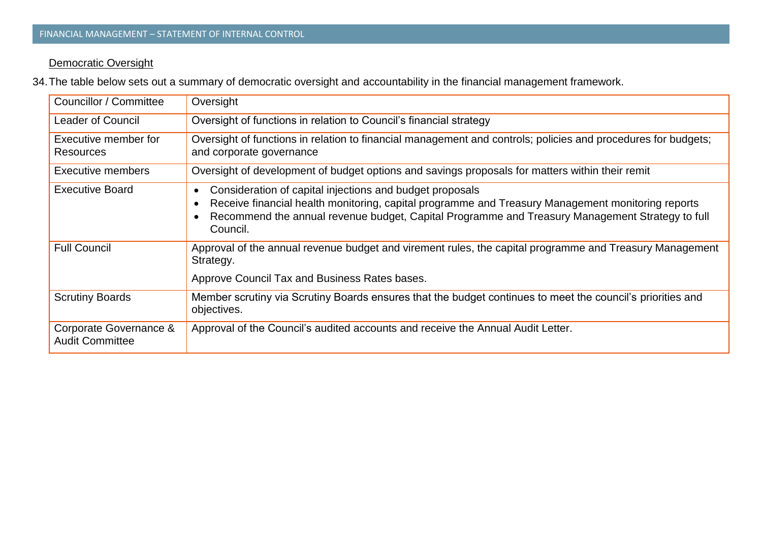## **Democratic Oversight**

34.The table below sets out a summary of democratic oversight and accountability in the financial management framework.

| Councillor / Committee                           | Oversight                                                                                                                                                                                                                                                                         |
|--------------------------------------------------|-----------------------------------------------------------------------------------------------------------------------------------------------------------------------------------------------------------------------------------------------------------------------------------|
| <b>Leader of Council</b>                         | Oversight of functions in relation to Council's financial strategy                                                                                                                                                                                                                |
| Executive member for<br><b>Resources</b>         | Oversight of functions in relation to financial management and controls; policies and procedures for budgets;<br>and corporate governance                                                                                                                                         |
| <b>Executive members</b>                         | Oversight of development of budget options and savings proposals for matters within their remit                                                                                                                                                                                   |
| <b>Executive Board</b>                           | Consideration of capital injections and budget proposals<br>٠<br>Receive financial health monitoring, capital programme and Treasury Management monitoring reports<br>Recommend the annual revenue budget, Capital Programme and Treasury Management Strategy to full<br>Council. |
| <b>Full Council</b>                              | Approval of the annual revenue budget and virement rules, the capital programme and Treasury Management<br>Strategy.<br>Approve Council Tax and Business Rates bases.                                                                                                             |
| <b>Scrutiny Boards</b>                           | Member scrutiny via Scrutiny Boards ensures that the budget continues to meet the council's priorities and<br>objectives.                                                                                                                                                         |
| Corporate Governance &<br><b>Audit Committee</b> | Approval of the Council's audited accounts and receive the Annual Audit Letter.                                                                                                                                                                                                   |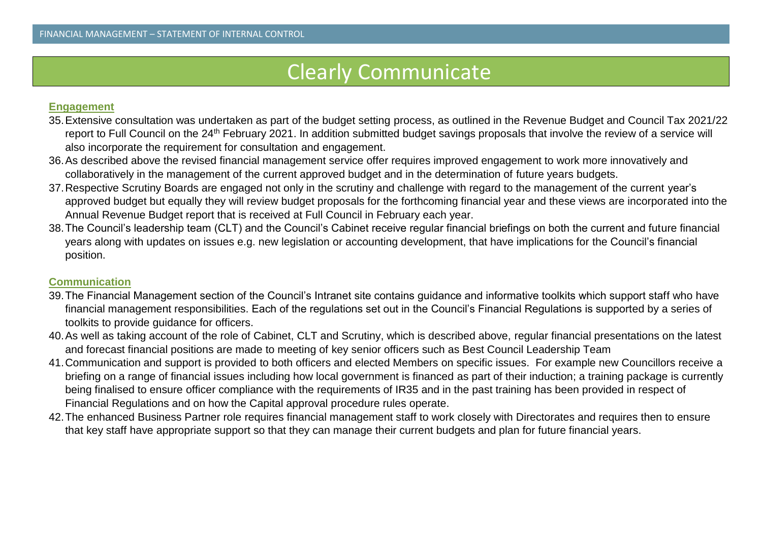# Clearly Communicate

#### **Engagement**

- 35.Extensive consultation was undertaken as part of the budget setting process, as outlined in the Revenue Budget and Council Tax 2021/22 report to Full Council on the 24<sup>th</sup> February 2021. In addition submitted budget savings proposals that involve the review of a service will also incorporate the requirement for consultation and engagement.
- 36.As described above the revised financial management service offer requires improved engagement to work more innovatively and collaboratively in the management of the current approved budget and in the determination of future years budgets.
- 37.Respective Scrutiny Boards are engaged not only in the scrutiny and challenge with regard to the management of the current year's approved budget but equally they will review budget proposals for the forthcoming financial year and these views are incorporated into the Annual Revenue Budget report that is received at Full Council in February each year.
- 38.The Council's leadership team (CLT) and the Council's Cabinet receive regular financial briefings on both the current and future financial years along with updates on issues e.g. new legislation or accounting development, that have implications for the Council's financial position.

## **Communication**

- 39.The Financial Management section of the Council's Intranet site contains guidance and informative toolkits which support staff who have financial management responsibilities. Each of the regulations set out in the Council's Financial Regulations is supported by a series of toolkits to provide guidance for officers.
- 40.As well as taking account of the role of Cabinet, CLT and Scrutiny, which is described above, regular financial presentations on the latest and forecast financial positions are made to meeting of key senior officers such as Best Council Leadership Team
- 41.Communication and support is provided to both officers and elected Members on specific issues. For example new Councillors receive a briefing on a range of financial issues including how local government is financed as part of their induction; a training package is currently being finalised to ensure officer compliance with the requirements of IR35 and in the past training has been provided in respect of Financial Regulations and on how the Capital approval procedure rules operate.
- 42.The enhanced Business Partner role requires financial management staff to work closely with Directorates and requires then to ensure that key staff have appropriate support so that they can manage their current budgets and plan for future financial years.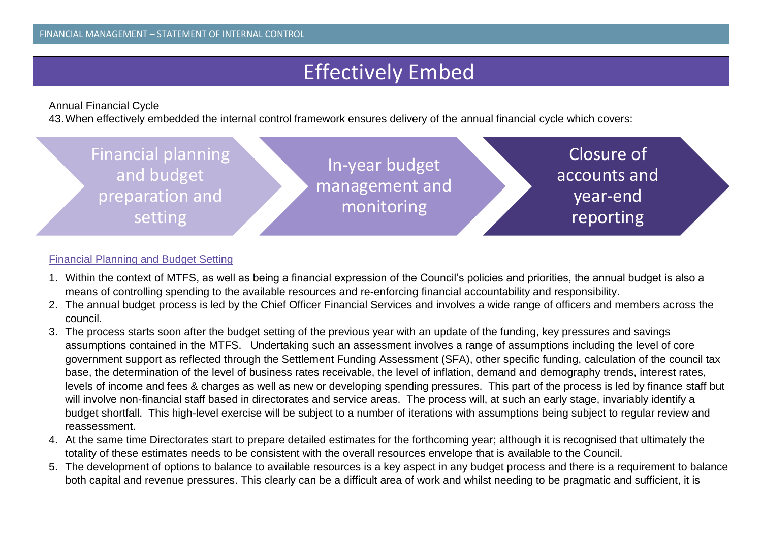# Effectively Embed

## Annual Financial Cycle

43.When effectively embedded the internal control framework ensures delivery of the annual financial cycle which covers:



## Financial Planning and Budget Setting

- 1. Within the context of MTFS, as well as being a financial expression of the Council's policies and priorities, the annual budget is also a means of controlling spending to the available resources and re-enforcing financial accountability and responsibility.
- 2. The annual budget process is led by the Chief Officer Financial Services and involves a wide range of officers and members across the council.
- 3. The process starts soon after the budget setting of the previous year with an update of the funding, key pressures and savings assumptions contained in the MTFS. Undertaking such an assessment involves a range of assumptions including the level of core government support as reflected through the Settlement Funding Assessment (SFA), other specific funding, calculation of the council tax base, the determination of the level of business rates receivable, the level of inflation, demand and demography trends, interest rates, levels of income and fees & charges as well as new or developing spending pressures. This part of the process is led by finance staff but will involve non-financial staff based in directorates and service areas. The process will, at such an early stage, invariably identify a budget shortfall. This high-level exercise will be subject to a number of iterations with assumptions being subject to regular review and reassessment.
- 4. At the same time Directorates start to prepare detailed estimates for the forthcoming year; although it is recognised that ultimately the totality of these estimates needs to be consistent with the overall resources envelope that is available to the Council.
- 5. The development of options to balance to available resources is a key aspect in any budget process and there is a requirement to balance both capital and revenue pressures. This clearly can be a difficult area of work and whilst needing to be pragmatic and sufficient, it is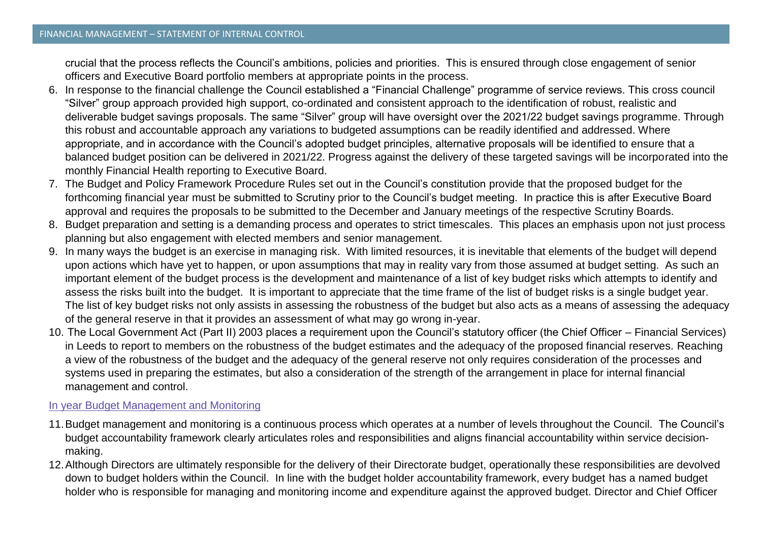crucial that the process reflects the Council's ambitions, policies and priorities. This is ensured through close engagement of senior officers and Executive Board portfolio members at appropriate points in the process.

- 6. In response to the financial challenge the Council established a "Financial Challenge" programme of service reviews. This cross council "Silver" group approach provided high support, co-ordinated and consistent approach to the identification of robust, realistic and deliverable budget savings proposals. The same "Silver" group will have oversight over the 2021/22 budget savings programme. Through this robust and accountable approach any variations to budgeted assumptions can be readily identified and addressed. Where appropriate, and in accordance with the Council's adopted budget principles, alternative proposals will be identified to ensure that a balanced budget position can be delivered in 2021/22. Progress against the delivery of these targeted savings will be incorporated into the monthly Financial Health reporting to Executive Board.
- 7. The Budget and Policy Framework Procedure Rules set out in the Council's constitution provide that the proposed budget for the forthcoming financial year must be submitted to Scrutiny prior to the Council's budget meeting. In practice this is after Executive Board approval and requires the proposals to be submitted to the December and January meetings of the respective Scrutiny Boards.
- 8. Budget preparation and setting is a demanding process and operates to strict timescales. This places an emphasis upon not just process planning but also engagement with elected members and senior management.
- 9. In many ways the budget is an exercise in managing risk. With limited resources, it is inevitable that elements of the budget will depend upon actions which have yet to happen, or upon assumptions that may in reality vary from those assumed at budget setting. As such an important element of the budget process is the development and maintenance of a list of key budget risks which attempts to identify and assess the risks built into the budget. It is important to appreciate that the time frame of the list of budget risks is a single budget year. The list of key budget risks not only assists in assessing the robustness of the budget but also acts as a means of assessing the adequacy of the general reserve in that it provides an assessment of what may go wrong in-year.
- 10. The Local Government Act (Part II) 2003 places a requirement upon the Council's statutory officer (the Chief Officer Financial Services) in Leeds to report to members on the robustness of the budget estimates and the adequacy of the proposed financial reserves. Reaching a view of the robustness of the budget and the adequacy of the general reserve not only requires consideration of the processes and systems used in preparing the estimates, but also a consideration of the strength of the arrangement in place for internal financial management and control.

#### In year Budget Management and Monitoring

- 11.Budget management and monitoring is a continuous process which operates at a number of levels throughout the Council. The Council's budget accountability framework clearly articulates roles and responsibilities and aligns financial accountability within service decisionmaking.
- 12.Although Directors are ultimately responsible for the delivery of their Directorate budget, operationally these responsibilities are devolved down to budget holders within the Council. In line with the budget holder accountability framework, every budget has a named budget holder who is responsible for managing and monitoring income and expenditure against the approved budget. Director and Chief Officer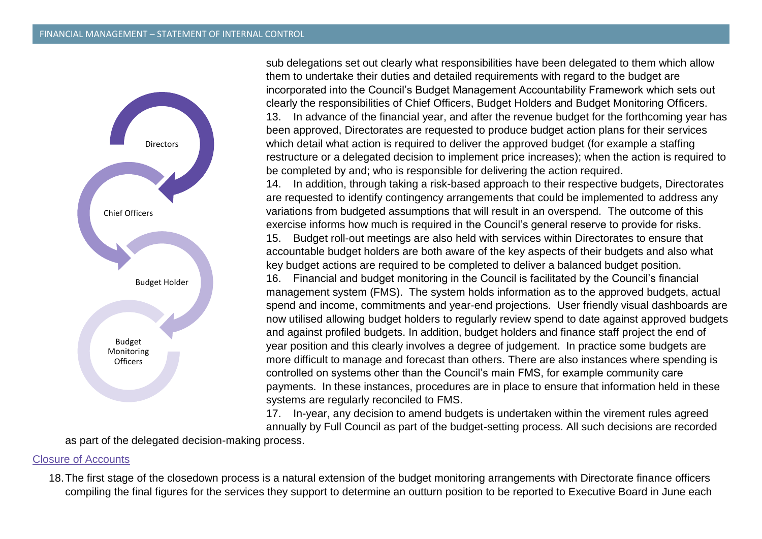

sub delegations set out clearly what responsibilities have been delegated to them which allow them to undertake their duties and detailed requirements with regard to the budget are incorporated into the Council's Budget Management Accountability Framework which sets out clearly the responsibilities of Chief Officers, Budget Holders and Budget Monitoring Officers. 13. In advance of the financial year, and after the revenue budget for the forthcoming year has been approved, Directorates are requested to produce budget action plans for their services which detail what action is required to deliver the approved budget (for example a staffing restructure or a delegated decision to implement price increases); when the action is required to be completed by and; who is responsible for delivering the action required.

14. In addition, through taking a risk-based approach to their respective budgets, Directorates are requested to identify contingency arrangements that could be implemented to address any variations from budgeted assumptions that will result in an overspend. The outcome of this exercise informs how much is required in the Council's general reserve to provide for risks.

15. Budget roll-out meetings are also held with services within Directorates to ensure that accountable budget holders are both aware of the key aspects of their budgets and also what key budget actions are required to be completed to deliver a balanced budget position.

16. Financial and budget monitoring in the Council is facilitated by the Council's financial management system (FMS). The system holds information as to the approved budgets, actual spend and income, commitments and year-end projections. User friendly visual dashboards are now utilised allowing budget holders to regularly review spend to date against approved budgets and against profiled budgets. In addition, budget holders and finance staff project the end of year position and this clearly involves a degree of judgement. In practice some budgets are more difficult to manage and forecast than others. There are also instances where spending is controlled on systems other than the Council's main FMS, for example community care payments. In these instances, procedures are in place to ensure that information held in these systems are regularly reconciled to FMS.

17. In-year, any decision to amend budgets is undertaken within the virement rules agreed annually by Full Council as part of the budget-setting process. All such decisions are recorded

as part of the delegated decision-making process.

#### Closure of Accounts

18.The first stage of the closedown process is a natural extension of the budget monitoring arrangements with Directorate finance officers compiling the final figures for the services they support to determine an outturn position to be reported to Executive Board in June each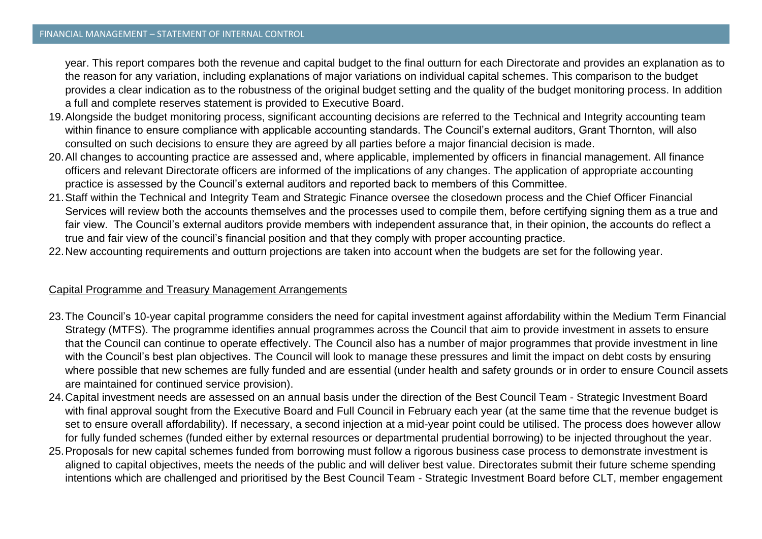year. This report compares both the revenue and capital budget to the final outturn for each Directorate and provides an explanation as to the reason for any variation, including explanations of major variations on individual capital schemes. This comparison to the budget provides a clear indication as to the robustness of the original budget setting and the quality of the budget monitoring process. In addition a full and complete reserves statement is provided to Executive Board.

- 19.Alongside the budget monitoring process, significant accounting decisions are referred to the Technical and Integrity accounting team within finance to ensure compliance with applicable accounting standards. The Council's external auditors, Grant Thornton, will also consulted on such decisions to ensure they are agreed by all parties before a major financial decision is made.
- 20.All changes to accounting practice are assessed and, where applicable, implemented by officers in financial management. All finance officers and relevant Directorate officers are informed of the implications of any changes. The application of appropriate accounting practice is assessed by the Council's external auditors and reported back to members of this Committee.
- 21.Staff within the Technical and Integrity Team and Strategic Finance oversee the closedown process and the Chief Officer Financial Services will review both the accounts themselves and the processes used to compile them, before certifying signing them as a true and fair view. The Council's external auditors provide members with independent assurance that, in their opinion, the accounts do reflect a true and fair view of the council's financial position and that they comply with proper accounting practice.
- 22.New accounting requirements and outturn projections are taken into account when the budgets are set for the following year.

#### Capital Programme and Treasury Management Arrangements

- 23.The Council's 10-year capital programme considers the need for capital investment against affordability within the Medium Term Financial Strategy (MTFS). The programme identifies annual programmes across the Council that aim to provide investment in assets to ensure that the Council can continue to operate effectively. The Council also has a number of major programmes that provide investment in line with the Council's best plan objectives. The Council will look to manage these pressures and limit the impact on debt costs by ensuring where possible that new schemes are fully funded and are essential (under health and safety grounds or in order to ensure Council assets are maintained for continued service provision).
- 24.Capital investment needs are assessed on an annual basis under the direction of the Best Council Team Strategic Investment Board with final approval sought from the Executive Board and Full Council in February each year (at the same time that the revenue budget is set to ensure overall affordability). If necessary, a second injection at a mid-year point could be utilised. The process does however allow for fully funded schemes (funded either by external resources or departmental prudential borrowing) to be injected throughout the year.
- 25.Proposals for new capital schemes funded from borrowing must follow a rigorous business case process to demonstrate investment is aligned to capital objectives, meets the needs of the public and will deliver best value. Directorates submit their future scheme spending intentions which are challenged and prioritised by the Best Council Team - Strategic Investment Board before CLT, member engagement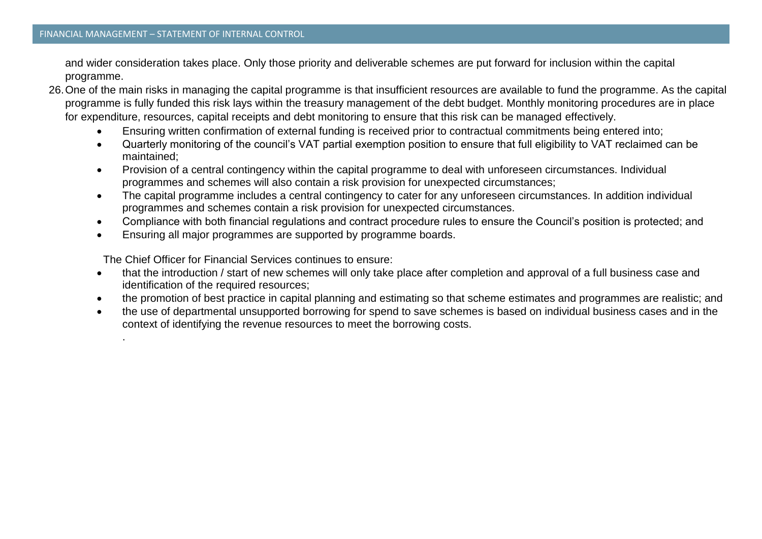.

and wider consideration takes place. Only those priority and deliverable schemes are put forward for inclusion within the capital programme.

- 26.One of the main risks in managing the capital programme is that insufficient resources are available to fund the programme. As the capital programme is fully funded this risk lays within the treasury management of the debt budget. Monthly monitoring procedures are in place for expenditure, resources, capital receipts and debt monitoring to ensure that this risk can be managed effectively.
	- Ensuring written confirmation of external funding is received prior to contractual commitments being entered into;
	- Quarterly monitoring of the council's VAT partial exemption position to ensure that full eligibility to VAT reclaimed can be maintained;
	- Provision of a central contingency within the capital programme to deal with unforeseen circumstances. Individual programmes and schemes will also contain a risk provision for unexpected circumstances;
	- The capital programme includes a central contingency to cater for any unforeseen circumstances. In addition individual programmes and schemes contain a risk provision for unexpected circumstances.
	- Compliance with both financial regulations and contract procedure rules to ensure the Council's position is protected; and
	- Ensuring all major programmes are supported by programme boards.

The Chief Officer for Financial Services continues to ensure:

- that the introduction / start of new schemes will only take place after completion and approval of a full business case and identification of the required resources;
- the promotion of best practice in capital planning and estimating so that scheme estimates and programmes are realistic; and
- the use of departmental unsupported borrowing for spend to save schemes is based on individual business cases and in the context of identifying the revenue resources to meet the borrowing costs.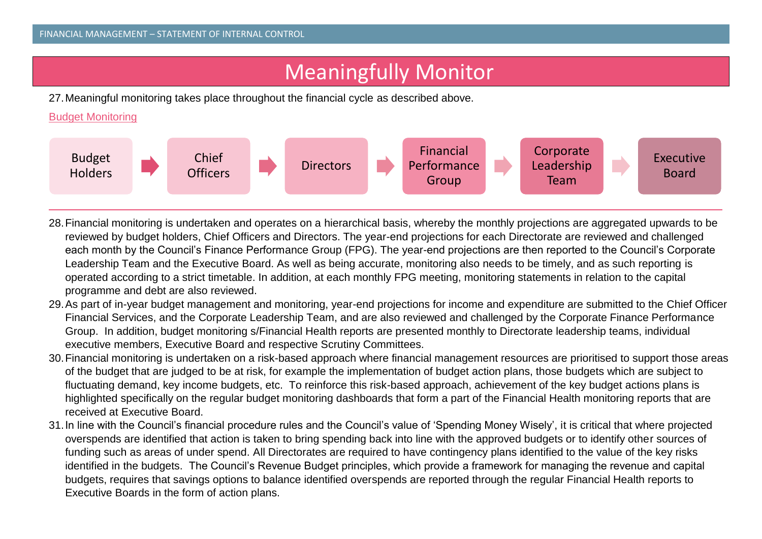# Meaningfully Monitor

27.Meaningful monitoring takes place throughout the financial cycle as described above.

Budget Monitoring



- 28.Financial monitoring is undertaken and operates on a hierarchical basis, whereby the monthly projections are aggregated upwards to be reviewed by budget holders, Chief Officers and Directors. The year-end projections for each Directorate are reviewed and challenged each month by the Council's Finance Performance Group (FPG). The year-end projections are then reported to the Council's Corporate Leadership Team and the Executive Board. As well as being accurate, monitoring also needs to be timely, and as such reporting is operated according to a strict timetable. In addition, at each monthly FPG meeting, monitoring statements in relation to the capital programme and debt are also reviewed.
- 29.As part of in-year budget management and monitoring, year-end projections for income and expenditure are submitted to the Chief Officer Financial Services, and the Corporate Leadership Team, and are also reviewed and challenged by the Corporate Finance Performance Group. In addition, budget monitoring s/Financial Health reports are presented monthly to Directorate leadership teams, individual executive members, Executive Board and respective Scrutiny Committees.
- 30.Financial monitoring is undertaken on a risk-based approach where financial management resources are prioritised to support those areas of the budget that are judged to be at risk, for example the implementation of budget action plans, those budgets which are subject to fluctuating demand, key income budgets, etc. To reinforce this risk-based approach, achievement of the key budget actions plans is highlighted specifically on the regular budget monitoring dashboards that form a part of the Financial Health monitoring reports that are received at Executive Board.
- 31.In line with the Council's financial procedure rules and the Council's value of 'Spending Money Wisely', it is critical that where projected overspends are identified that action is taken to bring spending back into line with the approved budgets or to identify other sources of funding such as areas of under spend. All Directorates are required to have contingency plans identified to the value of the key risks identified in the budgets. The Council's Revenue Budget principles, which provide a framework for managing the revenue and capital budgets, requires that savings options to balance identified overspends are reported through the regular Financial Health reports to Executive Boards in the form of action plans.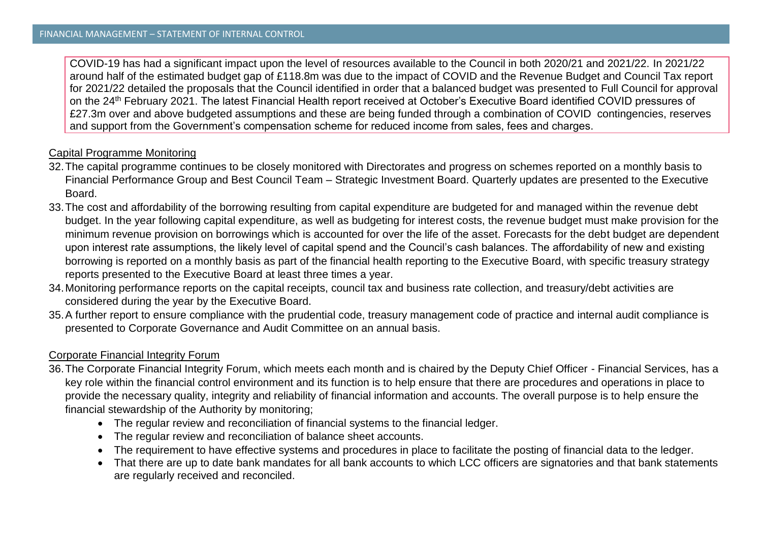COVID-19 has had a significant impact upon the level of resources available to the Council in both 2020/21 and 2021/22. In 2021/22 around half of the estimated budget gap of £118.8m was due to the impact of COVID and the Revenue Budget and Council Tax report for 2021/22 detailed the proposals that the Council identified in order that a balanced budget was presented to Full Council for approval on the 24th February 2021. The latest Financial Health report received at October's Executive Board identified COVID pressures of £27.3m over and above budgeted assumptions and these are being funded through a combination of COVID contingencies, reserves and support from the Government's compensation scheme for reduced income from sales, fees and charges.

## Capital Programme Monitoring

- 32.The capital programme continues to be closely monitored with Directorates and progress on schemes reported on a monthly basis to Financial Performance Group and Best Council Team – Strategic Investment Board. Quarterly updates are presented to the Executive Board.
- 33.The cost and affordability of the borrowing resulting from capital expenditure are budgeted for and managed within the revenue debt budget. In the year following capital expenditure, as well as budgeting for interest costs, the revenue budget must make provision for the minimum revenue provision on borrowings which is accounted for over the life of the asset. Forecasts for the debt budget are dependent upon interest rate assumptions, the likely level of capital spend and the Council's cash balances. The affordability of new and existing borrowing is reported on a monthly basis as part of the financial health reporting to the Executive Board, with specific treasury strategy reports presented to the Executive Board at least three times a year.
- 34.Monitoring performance reports on the capital receipts, council tax and business rate collection, and treasury/debt activities are considered during the year by the Executive Board.
- 35.A further report to ensure compliance with the prudential code, treasury management code of practice and internal audit compliance is presented to Corporate Governance and Audit Committee on an annual basis.

## Corporate Financial Integrity Forum

- 36.The Corporate Financial Integrity Forum, which meets each month and is chaired by the Deputy Chief Officer Financial Services, has a key role within the financial control environment and its function is to help ensure that there are procedures and operations in place to provide the necessary quality, integrity and reliability of financial information and accounts. The overall purpose is to help ensure the financial stewardship of the Authority by monitoring;
	- The regular review and reconciliation of financial systems to the financial ledger.
	- The regular review and reconciliation of balance sheet accounts.
	- The requirement to have effective systems and procedures in place to facilitate the posting of financial data to the ledger.
	- That there are up to date bank mandates for all bank accounts to which LCC officers are signatories and that bank statements are regularly received and reconciled.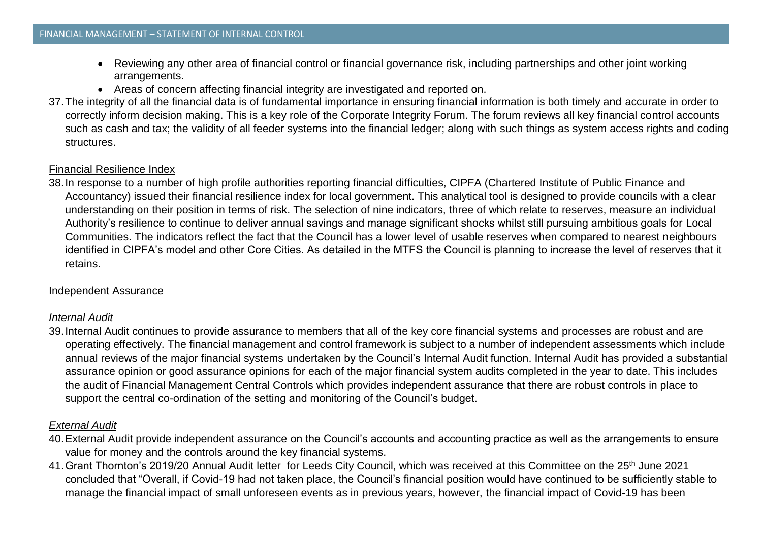- Reviewing any other area of financial control or financial governance risk, including partnerships and other joint working arrangements.
- Areas of concern affecting financial integrity are investigated and reported on.
- 37.The integrity of all the financial data is of fundamental importance in ensuring financial information is both timely and accurate in order to correctly inform decision making. This is a key role of the Corporate Integrity Forum. The forum reviews all key financial control accounts such as cash and tax; the validity of all feeder systems into the financial ledger; along with such things as system access rights and coding structures.

#### Financial Resilience Index

38.In response to a number of high profile authorities reporting financial difficulties, CIPFA (Chartered Institute of Public Finance and Accountancy) issued their financial resilience index for local government. This analytical tool is designed to provide councils with a clear understanding on their position in terms of risk. The selection of nine indicators, three of which relate to reserves, measure an individual Authority's resilience to continue to deliver annual savings and manage significant shocks whilst still pursuing ambitious goals for Local Communities. The indicators reflect the fact that the Council has a lower level of usable reserves when compared to nearest neighbours identified in CIPFA's model and other Core Cities. As detailed in the MTFS the Council is planning to increase the level of reserves that it retains.

#### Independent Assurance

#### *Internal Audit*

39.Internal Audit continues to provide assurance to members that all of the key core financial systems and processes are robust and are operating effectively. The financial management and control framework is subject to a number of independent assessments which include annual reviews of the major financial systems undertaken by the Council's Internal Audit function. Internal Audit has provided a substantial assurance opinion or good assurance opinions for each of the major financial system audits completed in the year to date. This includes the audit of Financial Management Central Controls which provides independent assurance that there are robust controls in place to support the central co-ordination of the setting and monitoring of the Council's budget.

## *External Audit*

- 40.External Audit provide independent assurance on the Council's accounts and accounting practice as well as the arrangements to ensure value for money and the controls around the key financial systems.
- 41. Grant Thornton's 2019/20 Annual Audit letter for Leeds City Council, which was received at this Committee on the 25<sup>th</sup> June 2021 concluded that "Overall, if Covid-19 had not taken place, the Council's financial position would have continued to be sufficiently stable to manage the financial impact of small unforeseen events as in previous years, however, the financial impact of Covid-19 has been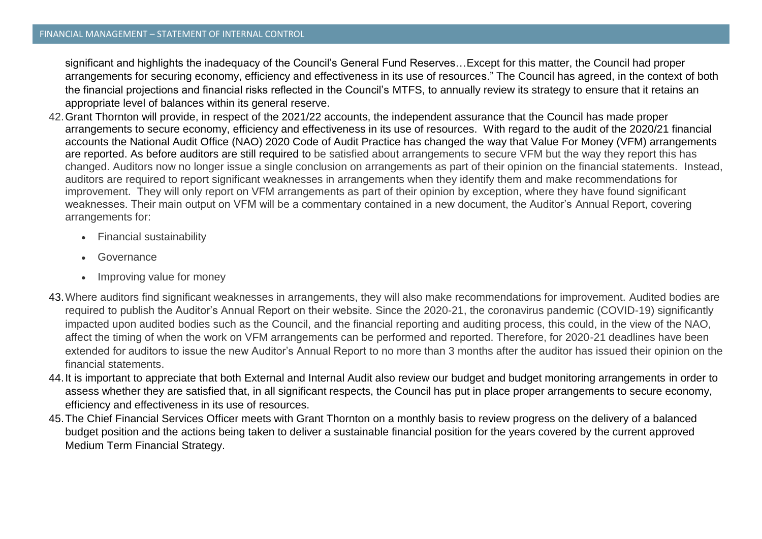significant and highlights the inadequacy of the Council's General Fund Reserves…Except for this matter, the Council had proper arrangements for securing economy, efficiency and effectiveness in its use of resources." The Council has agreed, in the context of both the financial projections and financial risks reflected in the Council's MTFS, to annually review its strategy to ensure that it retains an appropriate level of balances within its general reserve.

- 42.Grant Thornton will provide, in respect of the 2021/22 accounts, the independent assurance that the Council has made proper arrangements to secure economy, efficiency and effectiveness in its use of resources. With regard to the audit of the 2020/21 financial accounts the National Audit Office (NAO) 2020 Code of Audit Practice has changed the way that Value For Money (VFM) arrangements are reported. As before auditors are still required to be satisfied about arrangements to secure VFM but the way they report this has changed. Auditors now no longer issue a single conclusion on arrangements as part of their opinion on the financial statements. Instead, auditors are required to report significant weaknesses in arrangements when they identify them and make recommendations for improvement. They will only report on VFM arrangements as part of their opinion by exception, where they have found significant weaknesses. Their main output on VFM will be a commentary contained in a new document, the Auditor's Annual Report, covering arrangements for:
	- Financial sustainability
	- **Governance**
	- Improving value for money
- 43.Where auditors find significant weaknesses in arrangements, they will also make recommendations for improvement. Audited bodies are required to publish the Auditor's Annual Report on their website. Since the 2020-21, the coronavirus pandemic (COVID-19) significantly impacted upon audited bodies such as the Council, and the financial reporting and auditing process, this could, in the view of the NAO, affect the timing of when the work on VFM arrangements can be performed and reported. Therefore, for 2020-21 deadlines have been extended for auditors to issue the new Auditor's Annual Report to no more than 3 months after the auditor has issued their opinion on the financial statements.
- 44.It is important to appreciate that both External and Internal Audit also review our budget and budget monitoring arrangements in order to assess whether they are satisfied that, in all significant respects, the Council has put in place proper arrangements to secure economy, efficiency and effectiveness in its use of resources.
- 45.The Chief Financial Services Officer meets with Grant Thornton on a monthly basis to review progress on the delivery of a balanced budget position and the actions being taken to deliver a sustainable financial position for the years covered by the current approved Medium Term Financial Strategy.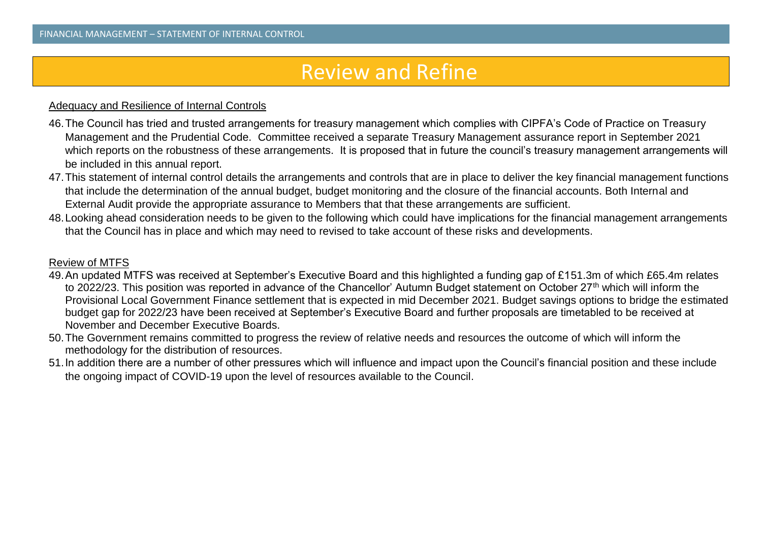## Review and Refine

#### Adequacy and Resilience of Internal Controls

- 46.The Council has tried and trusted arrangements for treasury management which complies with CIPFA's Code of Practice on Treasury Management and the Prudential Code. Committee received a separate Treasury Management assurance report in September 2021 which reports on the robustness of these arrangements. It is proposed that in future the council's treasury management arrangements will be included in this annual report.
- 47.This statement of internal control details the arrangements and controls that are in place to deliver the key financial management functions that include the determination of the annual budget, budget monitoring and the closure of the financial accounts. Both Internal and External Audit provide the appropriate assurance to Members that that these arrangements are sufficient.
- 48.Looking ahead consideration needs to be given to the following which could have implications for the financial management arrangements that the Council has in place and which may need to revised to take account of these risks and developments.

#### Review of MTFS

- 49.An updated MTFS was received at September's Executive Board and this highlighted a funding gap of £151.3m of which £65.4m relates to 2022/23. This position was reported in advance of the Chancellor' Autumn Budget statement on October 27<sup>th</sup> which will inform the Provisional Local Government Finance settlement that is expected in mid December 2021. Budget savings options to bridge the estimated budget gap for 2022/23 have been received at September's Executive Board and further proposals are timetabled to be received at November and December Executive Boards.
- 50.The Government remains committed to progress the review of relative needs and resources the outcome of which will inform the methodology for the distribution of resources.
- 51.In addition there are a number of other pressures which will influence and impact upon the Council's financial position and these include the ongoing impact of COVID-19 upon the level of resources available to the Council.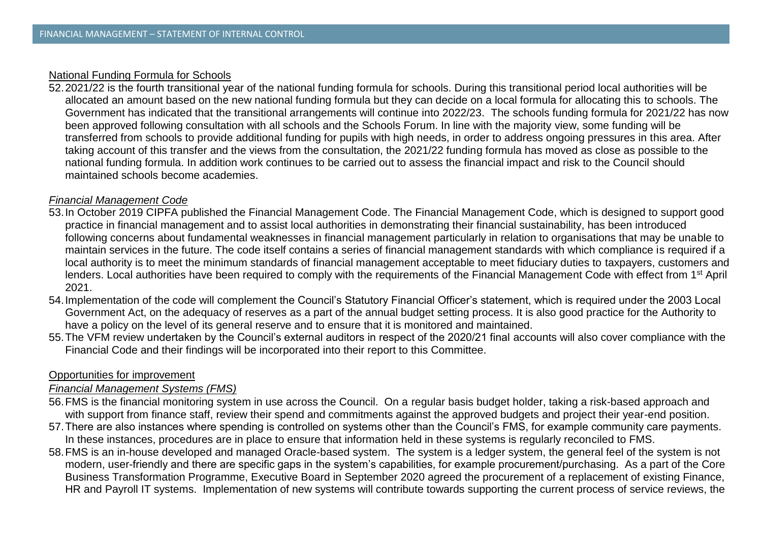### National Funding Formula for Schools

52.2021/22 is the fourth transitional year of the national funding formula for schools. During this transitional period local authorities will be allocated an amount based on the new national funding formula but they can decide on a local formula for allocating this to schools. The Government has indicated that the transitional arrangements will continue into 2022/23. The schools funding formula for 2021/22 has now been approved following consultation with all schools and the Schools Forum. In line with the majority view, some funding will be transferred from schools to provide additional funding for pupils with high needs, in order to address ongoing pressures in this area. After taking account of this transfer and the views from the consultation, the 2021/22 funding formula has moved as close as possible to the national funding formula. In addition work continues to be carried out to assess the financial impact and risk to the Council should maintained schools become academies.

### *Financial Management Code*

- 53.In October 2019 CIPFA published the Financial Management Code. The Financial Management Code, which is designed to support good practice in financial management and to assist local authorities in demonstrating their financial sustainability, has been introduced following concerns about fundamental weaknesses in financial management particularly in relation to organisations that may be unable to maintain services in the future. The code itself contains a series of financial management standards with which compliance is required if a local authority is to meet the minimum standards of financial management acceptable to meet fiduciary duties to taxpayers, customers and lenders. Local authorities have been required to comply with the requirements of the Financial Management Code with effect from 1<sup>st</sup> April 2021.
- 54.Implementation of the code will complement the Council's Statutory Financial Officer's statement, which is required under the 2003 Local Government Act, on the adequacy of reserves as a part of the annual budget setting process. It is also good practice for the Authority to have a policy on the level of its general reserve and to ensure that it is monitored and maintained.
- 55.The VFM review undertaken by the Council's external auditors in respect of the 2020/21 final accounts will also cover compliance with the Financial Code and their findings will be incorporated into their report to this Committee.

#### Opportunities for improvement

#### *Financial Management Systems (FMS)*

- 56.FMS is the financial monitoring system in use across the Council. On a regular basis budget holder, taking a risk-based approach and with support from finance staff, review their spend and commitments against the approved budgets and project their year-end position.
- 57.There are also instances where spending is controlled on systems other than the Council's FMS, for example community care payments. In these instances, procedures are in place to ensure that information held in these systems is regularly reconciled to FMS.
- 58.FMS is an in-house developed and managed Oracle-based system. The system is a ledger system, the general feel of the system is not modern, user-friendly and there are specific gaps in the system's capabilities, for example procurement/purchasing. As a part of the Core Business Transformation Programme, Executive Board in September 2020 agreed the procurement of a replacement of existing Finance, HR and Payroll IT systems. Implementation of new systems will contribute towards supporting the current process of service reviews, the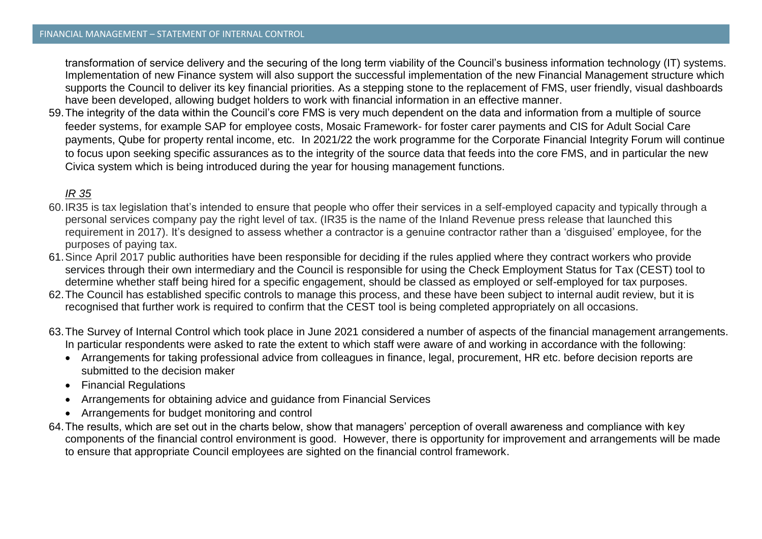transformation of service delivery and the securing of the long term viability of the Council's business information technology (IT) systems. Implementation of new Finance system will also support the successful implementation of the new Financial Management structure which supports the Council to deliver its key financial priorities. As a stepping stone to the replacement of FMS, user friendly, visual dashboards have been developed, allowing budget holders to work with financial information in an effective manner.

59.The integrity of the data within the Council's core FMS is very much dependent on the data and information from a multiple of source feeder systems, for example SAP for employee costs, Mosaic Framework- for foster carer payments and CIS for Adult Social Care payments, Qube for property rental income, etc. In 2021/22 the work programme for the Corporate Financial Integrity Forum will continue to focus upon seeking specific assurances as to the integrity of the source data that feeds into the core FMS, and in particular the new Civica system which is being introduced during the year for housing management functions.

## *IR 35*

- 60.IR35 is tax legislation that's intended to ensure that people who offer their services in a self-employed capacity and typically through a personal services company pay the right level of tax. (IR35 is the name of the Inland Revenue press release that launched this requirement in 2017). It's designed to assess whether a contractor is a genuine contractor rather than a 'disguised' employee, for the purposes of paying tax.
- 61.Since April 2017 public authorities have been responsible for deciding if the rules applied where they contract workers who provide services through their own intermediary and the Council is responsible for using the Check Employment Status for Tax (CEST) tool to determine whether staff being hired for a specific engagement, should be classed as employed or self-employed for tax purposes.
- 62.The Council has established specific controls to manage this process, and these have been subject to internal audit review, but it is recognised that further work is required to confirm that the CEST tool is being completed appropriately on all occasions.
- 63.The Survey of Internal Control which took place in June 2021 considered a number of aspects of the financial management arrangements. In particular respondents were asked to rate the extent to which staff were aware of and working in accordance with the following:
	- Arrangements for taking professional advice from colleagues in finance, legal, procurement, HR etc. before decision reports are submitted to the decision maker
	- Financial Regulations
	- Arrangements for obtaining advice and guidance from Financial Services
	- Arrangements for budget monitoring and control
- 64.The results, which are set out in the charts below, show that managers' perception of overall awareness and compliance with key components of the financial control environment is good. However, there is opportunity for improvement and arrangements will be made to ensure that appropriate Council employees are sighted on the financial control framework.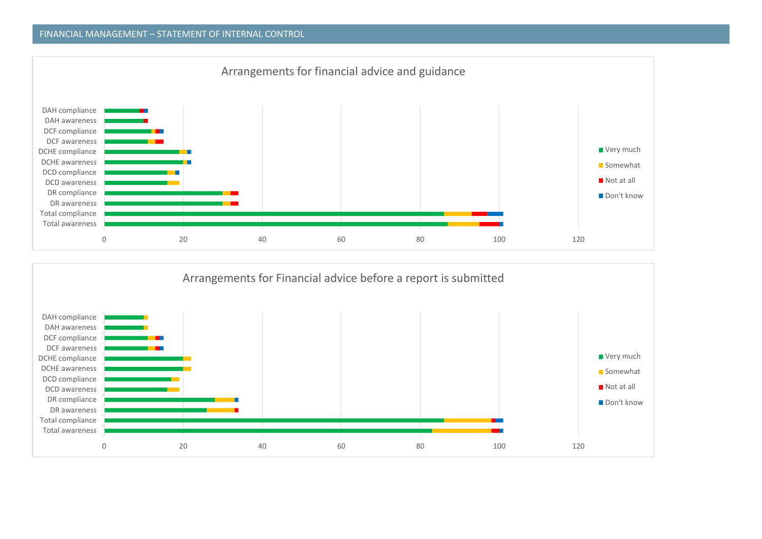#### FINANCIAL MANAGEMENT – STATEMENT OF INTERNAL CONTROL



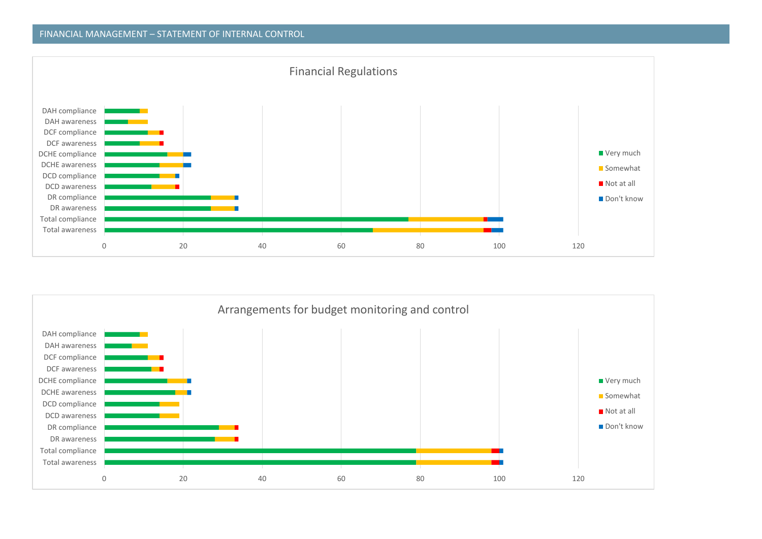